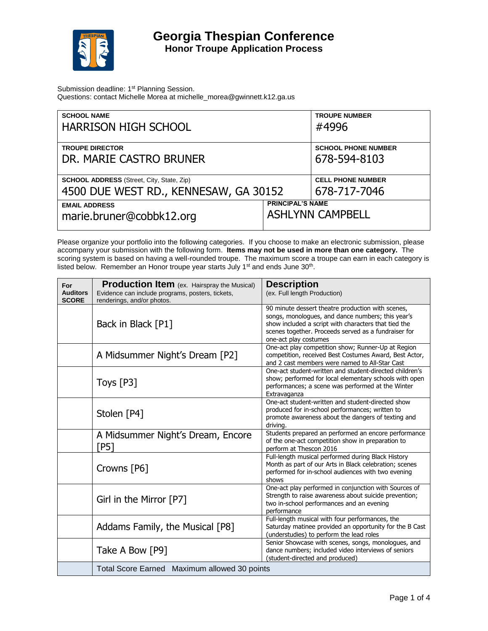

Submission deadline: 1<sup>st</sup> Planning Session. Questions: contact Michelle Morea at michelle\_morea@gwinnett.k12.ga.us

| <b>SCHOOL NAME</b><br><b>HARRISON HIGH SCHOOL</b>                                         |                         | <b>TROUPE NUMBER</b><br>#4996              |
|-------------------------------------------------------------------------------------------|-------------------------|--------------------------------------------|
| <b>TROUPE DIRECTOR</b><br>DR. MARIE CASTRO BRUNER                                         |                         | <b>SCHOOL PHONE NUMBER</b><br>678-594-8103 |
| <b>SCHOOL ADDRESS</b> (Street, City, State, Zip)<br>4500 DUE WEST RD., KENNESAW, GA 30152 |                         | <b>CELL PHONE NUMBER</b><br>678-717-7046   |
| <b>EMAIL ADDRESS</b><br>marie.bruner@cobbk12.org                                          | <b>PRINCIPAL'S NAME</b> | <b>ASHLYNN CAMPBELL</b>                    |

Please organize your portfolio into the following categories. If you choose to make an electronic submission, please accompany your submission with the following form. **Items may not be used in more than one category.** The scoring system is based on having a well-rounded troupe. The maximum score a troupe can earn in each category is listed below. Remember an Honor troupe year starts July 1<sup>st</sup> and ends June 30<sup>th</sup>.

| For<br><b>Auditors</b><br><b>SCORE</b> | Production Item (ex. Hairspray the Musical)<br>Evidence can include programs, posters, tickets,<br>renderings, and/or photos. | <b>Description</b><br>(ex. Full length Production)                                                                                                                                                                                              |
|----------------------------------------|-------------------------------------------------------------------------------------------------------------------------------|-------------------------------------------------------------------------------------------------------------------------------------------------------------------------------------------------------------------------------------------------|
|                                        | Back in Black [P1]                                                                                                            | 90 minute dessert theatre production with scenes,<br>songs, monologues, and dance numbers; this year's<br>show included a script with characters that tied the<br>scenes together. Proceeds served as a fundraiser for<br>one-act play costumes |
|                                        | A Midsummer Night's Dream [P2]                                                                                                | One-act play competition show; Runner-Up at Region<br>competition, received Best Costumes Award, Best Actor,<br>and 2 cast members were named to All-Star Cast                                                                                  |
|                                        | Toys $[P3]$                                                                                                                   | One-act student-written and student-directed children's<br>show; performed for local elementary schools with open<br>performances; a scene was performed at the Winter<br>Extravaganza                                                          |
|                                        | Stolen [P4]                                                                                                                   | One-act student-written and student-directed show<br>produced for in-school performances; written to<br>promote awareness about the dangers of texting and<br>drivina.                                                                          |
|                                        | A Midsummer Night's Dream, Encore<br>[P5]                                                                                     | Students prepared an performed an encore performance<br>of the one-act competition show in preparation to<br>perform at Thescon 2016                                                                                                            |
|                                        | Crowns [P6]                                                                                                                   | Full-length musical performed during Black History<br>Month as part of our Arts in Black celebration; scenes<br>performed for in-school audiences with two evening<br>shows                                                                     |
|                                        | Girl in the Mirror [P7]                                                                                                       | One-act play performed in conjunction with Sources of<br>Strength to raise awareness about suicide prevention;<br>two in-school performances and an evening<br>performance                                                                      |
|                                        | Addams Family, the Musical [P8]                                                                                               | Full-length musical with four performances, the<br>Saturday matinee provided an opportunity for the B Cast<br>(understudies) to perform the lead roles                                                                                          |
|                                        | Take A Bow [P9]                                                                                                               | Senior Showcase with scenes, songs, monologues, and<br>dance numbers; included video interviews of seniors<br>(student-directed and produced)                                                                                                   |
|                                        | Total Score Earned Maximum allowed 30 points                                                                                  |                                                                                                                                                                                                                                                 |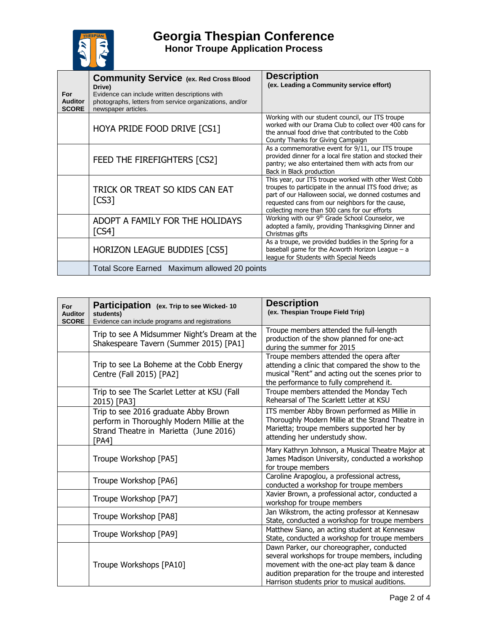

**Georgia Thespian Conference Honor Troupe Application Process**

| For<br><b>Auditor</b><br><b>SCORE</b> | <b>Community Service (ex. Red Cross Blood</b><br>Drive)<br>Evidence can include written descriptions with<br>photographs, letters from service organizations, and/or<br>newspaper articles. | <b>Description</b><br>(ex. Leading a Community service effort)                                                                                                                                                                                                                |
|---------------------------------------|---------------------------------------------------------------------------------------------------------------------------------------------------------------------------------------------|-------------------------------------------------------------------------------------------------------------------------------------------------------------------------------------------------------------------------------------------------------------------------------|
|                                       | HOYA PRIDE FOOD DRIVE [CS1]                                                                                                                                                                 | Working with our student council, our ITS troupe<br>worked with our Drama Club to collect over 400 cans for<br>the annual food drive that contributed to the Cobb<br>County Thanks for Giving Campaign                                                                        |
|                                       | FEED THE FIREFIGHTERS [CS2]                                                                                                                                                                 | As a commemorative event for 9/11, our ITS troupe<br>provided dinner for a local fire station and stocked their<br>pantry; we also entertained them with acts from our<br>Back in Black production                                                                            |
|                                       | TRICK OR TREAT SO KIDS CAN EAT<br>[CS3]                                                                                                                                                     | This year, our ITS troupe worked with other West Cobb<br>troupes to participate in the annual ITS food drive; as<br>part of our Halloween social, we donned costumes and<br>requested cans from our neighbors for the cause,<br>collecting more than 500 cans for our efforts |
|                                       | ADOPT A FAMILY FOR THE HOLIDAYS<br>$\lfloor$ CS4 $\rfloor$                                                                                                                                  | Working with our 9 <sup>th</sup> Grade School Counselor, we<br>adopted a family, providing Thanksgiving Dinner and<br>Christmas gifts                                                                                                                                         |
|                                       | <b>HORIZON LEAGUE BUDDIES [CS5]</b>                                                                                                                                                         | As a troupe, we provided buddies in the Spring for a<br>baseball game for the Acworth Horizon League - a<br>league for Students with Special Needs                                                                                                                            |
|                                       | Total Score Earned Maximum allowed 20 points                                                                                                                                                |                                                                                                                                                                                                                                                                               |

| For<br><b>Auditor</b><br><b>SCORE</b> | Participation (ex. Trip to see Wicked-10<br>students)<br>Evidence can include programs and registrations                              | <b>Description</b><br>(ex. Thespian Troupe Field Trip)                                                                                                                                                                                             |
|---------------------------------------|---------------------------------------------------------------------------------------------------------------------------------------|----------------------------------------------------------------------------------------------------------------------------------------------------------------------------------------------------------------------------------------------------|
|                                       | Trip to see A Midsummer Night's Dream at the<br>Shakespeare Tavern (Summer 2015) [PA1]                                                | Troupe members attended the full-length<br>production of the show planned for one-act<br>during the summer for 2015                                                                                                                                |
|                                       | Trip to see La Boheme at the Cobb Energy<br>Centre (Fall 2015) [PA2]                                                                  | Troupe members attended the opera after<br>attending a clinic that compared the show to the<br>musical "Rent" and acting out the scenes prior to<br>the performance to fully comprehend it.                                                        |
|                                       | Trip to see The Scarlet Letter at KSU (Fall<br>2015) [PA3]                                                                            | Troupe members attended the Monday Tech<br>Rehearsal of The Scarlett Letter at KSU                                                                                                                                                                 |
|                                       | Trip to see 2016 graduate Abby Brown<br>perform in Thoroughly Modern Millie at the<br>Strand Theatre in Marietta (June 2016)<br>[PA4] | ITS member Abby Brown performed as Millie in<br>Thoroughly Modern Millie at the Strand Theatre in<br>Marietta; troupe members supported her by<br>attending her understudy show.                                                                   |
|                                       | Troupe Workshop [PA5]                                                                                                                 | Mary Kathryn Johnson, a Musical Theatre Major at<br>James Madison University, conducted a workshop<br>for troupe members                                                                                                                           |
|                                       | Troupe Workshop [PA6]                                                                                                                 | Caroline Arapoglou, a professional actress,<br>conducted a workshop for troupe members                                                                                                                                                             |
|                                       | Troupe Workshop [PA7]                                                                                                                 | Xavier Brown, a professional actor, conducted a<br>workshop for troupe members                                                                                                                                                                     |
|                                       | Troupe Workshop [PA8]                                                                                                                 | Jan Wikstrom, the acting professor at Kennesaw<br>State, conducted a workshop for troupe members                                                                                                                                                   |
|                                       | Troupe Workshop [PA9]                                                                                                                 | Matthew Siano, an acting student at Kennesaw<br>State, conducted a workshop for troupe members                                                                                                                                                     |
|                                       | Troupe Workshops [PA10]                                                                                                               | Dawn Parker, our choreographer, conducted<br>several workshops for troupe members, including<br>movement with the one-act play team & dance<br>audition preparation for the troupe and interested<br>Harrison students prior to musical auditions. |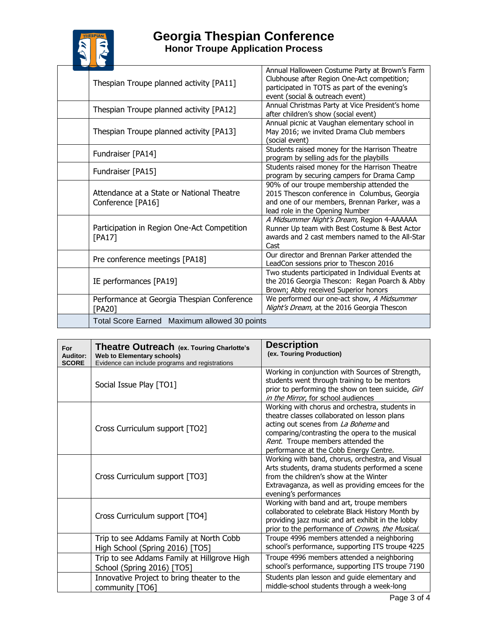

## **Georgia Thespian Conference Honor Troupe Application Process**

| Thespian Troupe planned activity [PA11]                        | Annual Halloween Costume Party at Brown's Farm<br>Clubhouse after Region One-Act competition;<br>participated in TOTS as part of the evening's<br>event (social & outreach event) |
|----------------------------------------------------------------|-----------------------------------------------------------------------------------------------------------------------------------------------------------------------------------|
| Thespian Troupe planned activity [PA12]                        | Annual Christmas Party at Vice President's home<br>after children's show (social event)                                                                                           |
| Thespian Troupe planned activity [PA13]                        | Annual picnic at Vaughan elementary school in<br>May 2016; we invited Drama Club members<br>(social event)                                                                        |
| Fundraiser [PA14]                                              | Students raised money for the Harrison Theatre<br>program by selling ads for the playbills                                                                                        |
| Fundraiser [PA15]                                              | Students raised money for the Harrison Theatre<br>program by securing campers for Drama Camp                                                                                      |
| Attendance at a State or National Theatre<br>Conference [PA16] | 90% of our troupe membership attended the<br>2015 Thescon conference in Columbus, Georgia<br>and one of our members, Brennan Parker, was a<br>lead role in the Opening Number     |
| Participation in Region One-Act Competition<br>[PA17]          | A Midsummer Night's Dream, Region 4-AAAAAA<br>Runner Up team with Best Costume & Best Actor<br>awards and 2 cast members named to the All-Star<br>Cast                            |
| Pre conference meetings [PA18]                                 | Our director and Brennan Parker attended the<br>LeadCon sessions prior to Thescon 2016                                                                                            |
| IE performances [PA19]                                         | Two students participated in Individual Events at<br>the 2016 Georgia Thescon: Regan Poarch & Abby<br>Brown; Abby received Superior honors                                        |
| Performance at Georgia Thespian Conference<br>[PA20]           | We performed our one-act show, A Midsummer<br>Night's Dream, at the 2016 Georgia Thescon                                                                                          |
| Total Score Earned Maximum allowed 30 points                   |                                                                                                                                                                                   |

| For<br><b>Auditor:</b><br><b>SCORE</b> | Theatre Outreach (ex. Touring Charlotte's<br><b>Web to Elementary schools)</b><br>Evidence can include programs and registrations | <b>Description</b><br>(ex. Touring Production)                                                                                                                                                                                                                          |
|----------------------------------------|-----------------------------------------------------------------------------------------------------------------------------------|-------------------------------------------------------------------------------------------------------------------------------------------------------------------------------------------------------------------------------------------------------------------------|
|                                        | Social Issue Play [TO1]                                                                                                           | Working in conjunction with Sources of Strength,<br>students went through training to be mentors<br>prior to performing the show on teen suicide, Girl<br>in the Mirror, for school audiences                                                                           |
|                                        | Cross Curriculum support [TO2]                                                                                                    | Working with chorus and orchestra, students in<br>theatre classes collaborated on lesson plans<br>acting out scenes from La Boheme and<br>comparing/contrasting the opera to the musical<br>Rent. Troupe members attended the<br>performance at the Cobb Energy Centre. |
|                                        | Cross Curriculum support [TO3]                                                                                                    | Working with band, chorus, orchestra, and Visual<br>Arts students, drama students performed a scene<br>from the children's show at the Winter<br>Extravaganza, as well as providing emcees for the<br>evening's performances                                            |
|                                        | Cross Curriculum support [TO4]                                                                                                    | Working with band and art, troupe members<br>collaborated to celebrate Black History Month by<br>providing jazz music and art exhibit in the lobby<br>prior to the performance of Crowns, the Musical.                                                                  |
|                                        | Trip to see Addams Family at North Cobb<br>High School (Spring 2016) [TO5]                                                        | Troupe 4996 members attended a neighboring<br>school's performance, supporting ITS troupe 4225                                                                                                                                                                          |
|                                        | Trip to see Addams Family at Hillgrove High<br>School (Spring 2016) [TO5]                                                         | Troupe 4996 members attended a neighboring<br>school's performance, supporting ITS troupe 7190                                                                                                                                                                          |
|                                        | Innovative Project to bring theater to the<br>community [TO6]                                                                     | Students plan lesson and guide elementary and<br>middle-school students through a week-long                                                                                                                                                                             |